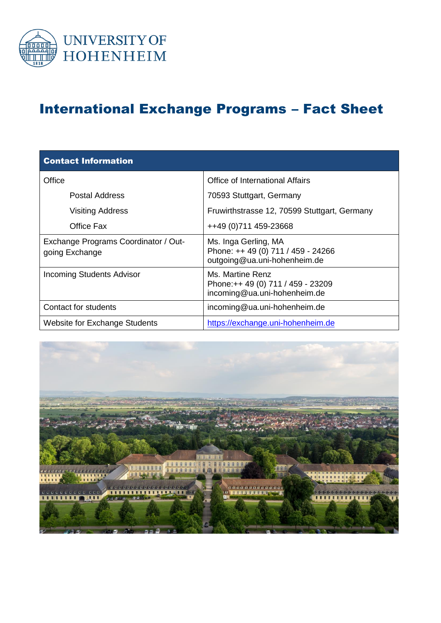

## International Exchange Programs – Fact Sheet

| <b>Contact Information</b>                             |                                                                                            |  |
|--------------------------------------------------------|--------------------------------------------------------------------------------------------|--|
| Office                                                 | Office of International Affairs                                                            |  |
| Postal Address                                         | 70593 Stuttgart, Germany                                                                   |  |
| <b>Visiting Address</b>                                | Fruwirthstrasse 12, 70599 Stuttgart, Germany                                               |  |
| Office Fax                                             | ++49 (0) 711 459-23668                                                                     |  |
| Exchange Programs Coordinator / Out-<br>going Exchange | Ms. Inga Gerling, MA<br>Phone: ++ 49 (0) 711 / 459 - 24266<br>outgoing@ua.uni-hohenheim.de |  |
| <b>Incoming Students Advisor</b>                       | Ms. Martine Renz<br>Phone:++ 49 (0) 711 / 459 - 23209<br>incoming@ua.uni-hohenheim.de      |  |
| Contact for students                                   | incoming@ua.uni-hohenheim.de                                                               |  |
| <b>Website for Exchange Students</b>                   | https://exchange.uni-hohenheim.de                                                          |  |

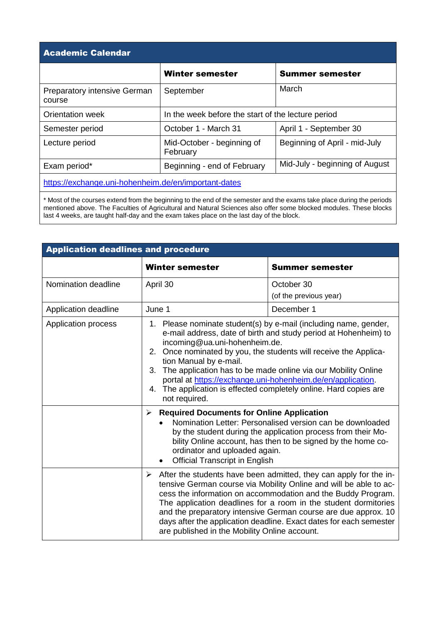| <b>Academic Calendar</b>                             |                                                    |                                |
|------------------------------------------------------|----------------------------------------------------|--------------------------------|
|                                                      | <b>Winter semester</b>                             | <b>Summer semester</b>         |
| <b>Preparatory intensive German</b><br>course        | September                                          | March                          |
| Orientation week                                     | In the week before the start of the lecture period |                                |
| Semester period                                      | October 1 - March 31                               | April 1 - September 30         |
| Lecture period                                       | Mid-October - beginning of<br>February             | Beginning of April - mid-July  |
| Exam period*                                         | Beginning - end of February                        | Mid-July - beginning of August |
| https://exchange.uni-hohenheim.de/en/important-dates |                                                    |                                |

\* Most of the courses extend from the beginning to the end of the semester and the exams take place during the periods mentioned above. The Faculties of Agricultural and Natural Sciences also offer some blocked modules. These blocks last 4 weeks, are taught half-day and the exam takes place on the last day of the block.

| <b>Application deadlines and procedure</b> |                                                                                                                                                                                                                                                                                                                                                                                                                                                                                             |                                                                                                                                                                                                                                                                                                                                                                                                                   |
|--------------------------------------------|---------------------------------------------------------------------------------------------------------------------------------------------------------------------------------------------------------------------------------------------------------------------------------------------------------------------------------------------------------------------------------------------------------------------------------------------------------------------------------------------|-------------------------------------------------------------------------------------------------------------------------------------------------------------------------------------------------------------------------------------------------------------------------------------------------------------------------------------------------------------------------------------------------------------------|
|                                            | Winter semester                                                                                                                                                                                                                                                                                                                                                                                                                                                                             | <b>Summer semester</b>                                                                                                                                                                                                                                                                                                                                                                                            |
| Nomination deadline                        | April 30                                                                                                                                                                                                                                                                                                                                                                                                                                                                                    | October 30<br>(of the previous year)                                                                                                                                                                                                                                                                                                                                                                              |
| Application deadline                       | June 1                                                                                                                                                                                                                                                                                                                                                                                                                                                                                      | December 1                                                                                                                                                                                                                                                                                                                                                                                                        |
| Application process                        | 1. Please nominate student(s) by e-mail (including name, gender,<br>e-mail address, date of birth and study period at Hohenheim) to<br>incoming@ua.uni-hohenheim.de.<br>2. Once nominated by you, the students will receive the Applica-<br>tion Manual by e-mail.<br>3. The application has to be made online via our Mobility Online<br>portal at https://exchange.uni-hohenheim.de/en/application.<br>4. The application is effected completely online. Hard copies are<br>not required. |                                                                                                                                                                                                                                                                                                                                                                                                                   |
|                                            | <b>Required Documents for Online Application</b><br>≻<br>ordinator and uploaded again.<br><b>Official Transcript in English</b>                                                                                                                                                                                                                                                                                                                                                             | Nomination Letter: Personalised version can be downloaded<br>by the student during the application process from their Mo-<br>bility Online account, has then to be signed by the home co-                                                                                                                                                                                                                         |
|                                            | ➤<br>are published in the Mobility Online account.                                                                                                                                                                                                                                                                                                                                                                                                                                          | After the students have been admitted, they can apply for the in-<br>tensive German course via Mobility Online and will be able to ac-<br>cess the information on accommodation and the Buddy Program.<br>The application deadlines for a room in the student dormitories<br>and the preparatory intensive German course are due approx. 10<br>days after the application deadline. Exact dates for each semester |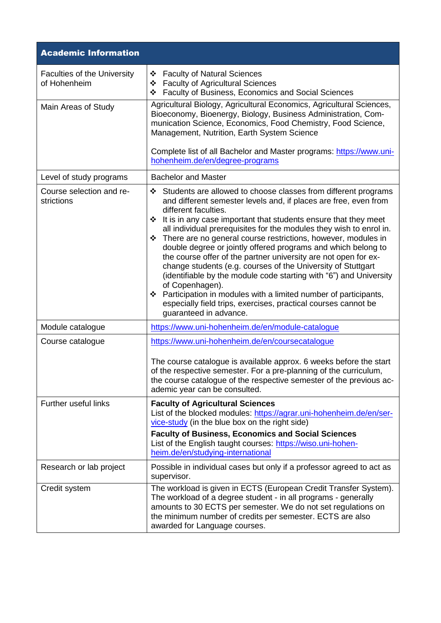| <b>Academic Information</b>                        |                                                                                                                                                                                                                                                                                                                                                                                                                                                                                                                                                                                                                                                                                                                                                                                                                                            |
|----------------------------------------------------|--------------------------------------------------------------------------------------------------------------------------------------------------------------------------------------------------------------------------------------------------------------------------------------------------------------------------------------------------------------------------------------------------------------------------------------------------------------------------------------------------------------------------------------------------------------------------------------------------------------------------------------------------------------------------------------------------------------------------------------------------------------------------------------------------------------------------------------------|
| <b>Faculties of the University</b><br>of Hohenheim | ❖ Faculty of Natural Sciences<br>❖ Faculty of Agricultural Sciences<br>❖ Faculty of Business, Economics and Social Sciences                                                                                                                                                                                                                                                                                                                                                                                                                                                                                                                                                                                                                                                                                                                |
| Main Areas of Study                                | Agricultural Biology, Agricultural Economics, Agricultural Sciences,<br>Bioeconomy, Bioenergy, Biology, Business Administration, Com-<br>munication Science, Economics, Food Chemistry, Food Science,<br>Management, Nutrition, Earth System Science<br>Complete list of all Bachelor and Master programs: https://www.uni-<br>hohenheim.de/en/degree-programs                                                                                                                                                                                                                                                                                                                                                                                                                                                                             |
| Level of study programs                            | <b>Bachelor and Master</b>                                                                                                                                                                                                                                                                                                                                                                                                                                                                                                                                                                                                                                                                                                                                                                                                                 |
| Course selection and re-<br>strictions             | ❖ Students are allowed to choose classes from different programs<br>and different semester levels and, if places are free, even from<br>different faculties.<br>It is in any case important that students ensure that they meet<br>❖<br>all individual prerequisites for the modules they wish to enrol in.<br>There are no general course restrictions, however, modules in<br>double degree or jointly offered programs and which belong to<br>the course offer of the partner university are not open for ex-<br>change students (e.g. courses of the University of Stuttgart<br>(identifiable by the module code starting with "6") and University<br>of Copenhagen).<br>❖ Participation in modules with a limited number of participants,<br>especially field trips, exercises, practical courses cannot be<br>guaranteed in advance. |
| Module catalogue                                   | https://www.uni-hohenheim.de/en/module-catalogue                                                                                                                                                                                                                                                                                                                                                                                                                                                                                                                                                                                                                                                                                                                                                                                           |
| Course catalogue                                   | https://www.uni-hohenheim.de/en/coursecatalogue<br>The course catalogue is available approx. 6 weeks before the start<br>of the respective semester. For a pre-planning of the curriculum,<br>the course catalogue of the respective semester of the previous ac-<br>ademic year can be consulted.                                                                                                                                                                                                                                                                                                                                                                                                                                                                                                                                         |
| Further useful links                               | <b>Faculty of Agricultural Sciences</b><br>List of the blocked modules: https://agrar.uni-hohenheim.de/en/ser-<br>vice-study (in the blue box on the right side)<br><b>Faculty of Business, Economics and Social Sciences</b><br>List of the English taught courses: https://wiso.uni-hohen-<br>heim.de/en/studying-international                                                                                                                                                                                                                                                                                                                                                                                                                                                                                                          |
| Research or lab project                            | Possible in individual cases but only if a professor agreed to act as<br>supervisor.                                                                                                                                                                                                                                                                                                                                                                                                                                                                                                                                                                                                                                                                                                                                                       |
| Credit system                                      | The workload is given in ECTS (European Credit Transfer System).<br>The workload of a degree student - in all programs - generally<br>amounts to 30 ECTS per semester. We do not set regulations on<br>the minimum number of credits per semester. ECTS are also<br>awarded for Language courses.                                                                                                                                                                                                                                                                                                                                                                                                                                                                                                                                          |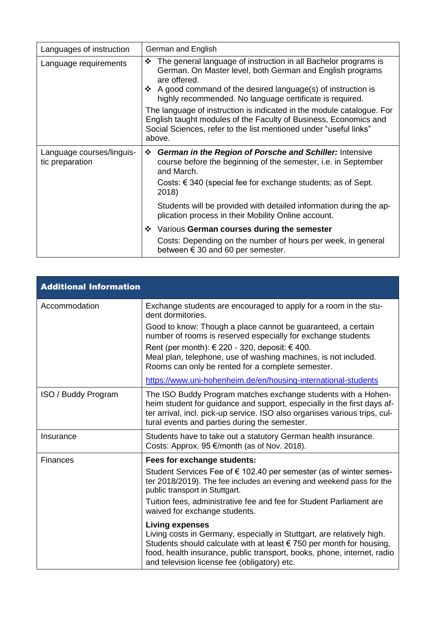| Languages of instruction                     | German and English                                                                                                                                                                                                                                                                                                                                                                                                                                                                                               |
|----------------------------------------------|------------------------------------------------------------------------------------------------------------------------------------------------------------------------------------------------------------------------------------------------------------------------------------------------------------------------------------------------------------------------------------------------------------------------------------------------------------------------------------------------------------------|
| Language requirements                        | The general language of instruction in all Bachelor programs is<br>❖<br>German. On Master level, both German and English programs<br>are offered.<br>$\cdot$ A good command of the desired language(s) of instruction is<br>highly recommended. No language certificate is required.<br>The language of instruction is indicated in the module catalogue. For<br>English taught modules of the Faculty of Business, Economics and<br>Social Sciences, refer to the list mentioned under "useful links"<br>above. |
| Language courses/linguis-<br>tic preparation | German in the Region of Porsche and Schiller: Intensive<br>❖<br>course before the beginning of the semester, <i>i.e.</i> in September<br>and March.<br>Costs: $\epsilon$ 340 (special fee for exchange students; as of Sept.<br>2018)<br>Students will be provided with detailed information during the ap-                                                                                                                                                                                                      |
|                                              | plication process in their Mobility Online account.                                                                                                                                                                                                                                                                                                                                                                                                                                                              |
|                                              | ❖ Various German courses during the semester<br>Costs: Depending on the number of hours per week, in general<br>between $\epsilon$ 30 and 60 per semester.                                                                                                                                                                                                                                                                                                                                                       |

| <b>Additional Information</b> |                                                                                                                                                                                                                                                                                                                          |
|-------------------------------|--------------------------------------------------------------------------------------------------------------------------------------------------------------------------------------------------------------------------------------------------------------------------------------------------------------------------|
| Accommodation                 | Exchange students are encouraged to apply for a room in the stu-<br>dent dormitories.                                                                                                                                                                                                                                    |
|                               | Good to know: Though a place cannot be guaranteed, a certain<br>number of rooms is reserved especially for exchange students<br>Rent (per month): $\epsilon$ 220 - 320, deposit: $\epsilon$ 400.<br>Meal plan, telephone, use of washing machines, is not included.<br>Rooms can only be rented for a complete semester. |
|                               | https://www.uni-hohenheim.de/en/housing-international-students                                                                                                                                                                                                                                                           |
| <b>ISO</b> / Buddy Program    | The ISO Buddy Program matches exchange students with a Hohen-<br>heim student for guidance and support, especially in the first days af-<br>ter arrival, incl. pick-up service. ISO also organises various trips, cul-<br>tural events and parties during the semester.                                                  |
| Insurance                     | Students have to take out a statutory German health insurance.<br>Costs: Approx. 95 €/month (as of Nov. 2018).                                                                                                                                                                                                           |
| <b>Finances</b>               | Fees for exchange students:                                                                                                                                                                                                                                                                                              |
|                               | Student Services Fee of $\epsilon$ 102.40 per semester (as of winter semes-<br>ter 2018/2019). The fee includes an evening and weekend pass for the<br>public transport in Stuttgart.                                                                                                                                    |
|                               | Tuition fees, administrative fee and fee for Student Parliament are<br>waived for exchange students.                                                                                                                                                                                                                     |
|                               | <b>Living expenses</b><br>Living costs in Germany, especially in Stuttgart, are relatively high.<br>Students should calculate with at least $\epsilon$ 750 per month for housing,<br>food, health insurance, public transport, books, phone, internet, radio<br>and television license fee (obligatory) etc.             |